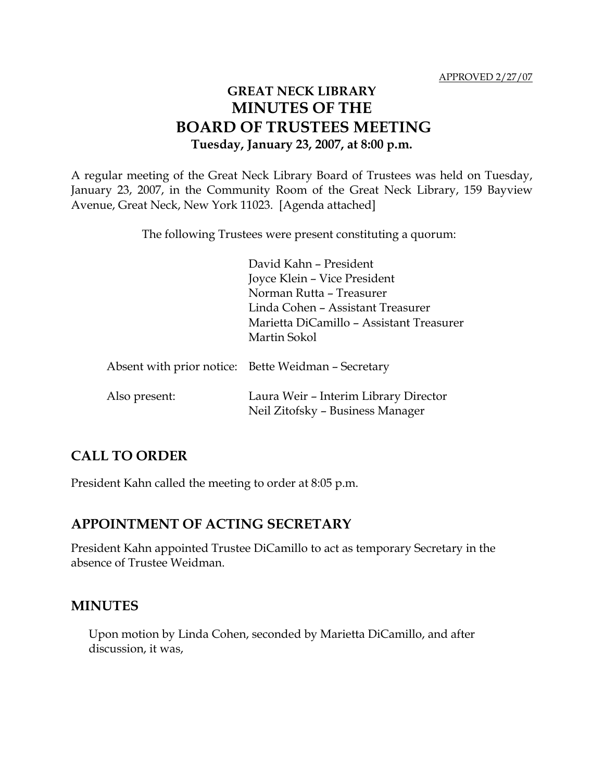# **GREAT NECK LIBRARY MINUTES OF THE BOARD OF TRUSTEES MEETING Tuesday, January 23, 2007, at 8:00 p.m.**

A regular meeting of the Great Neck Library Board of Trustees was held on Tuesday, January 23, 2007, in the Community Room of the Great Neck Library, 159 Bayview Avenue, Great Neck, New York 11023. [Agenda attached]

The following Trustees were present constituting a quorum:

David Kahn – President Joyce Klein – Vice President Norman Rutta – Treasurer Linda Cohen – Assistant Treasurer Marietta DiCamillo – Assistant Treasurer Martin Sokol

|               | Absent with prior notice: Bette Weidman – Secretary                       |
|---------------|---------------------------------------------------------------------------|
| Also present: | Laura Weir - Interim Library Director<br>Neil Zitofsky - Business Manager |

## **CALL TO ORDER**

President Kahn called the meeting to order at 8:05 p.m.

## **APPOINTMENT OF ACTING SECRETARY**

President Kahn appointed Trustee DiCamillo to act as temporary Secretary in the absence of Trustee Weidman.

## **MINUTES**

Upon motion by Linda Cohen, seconded by Marietta DiCamillo, and after discussion, it was,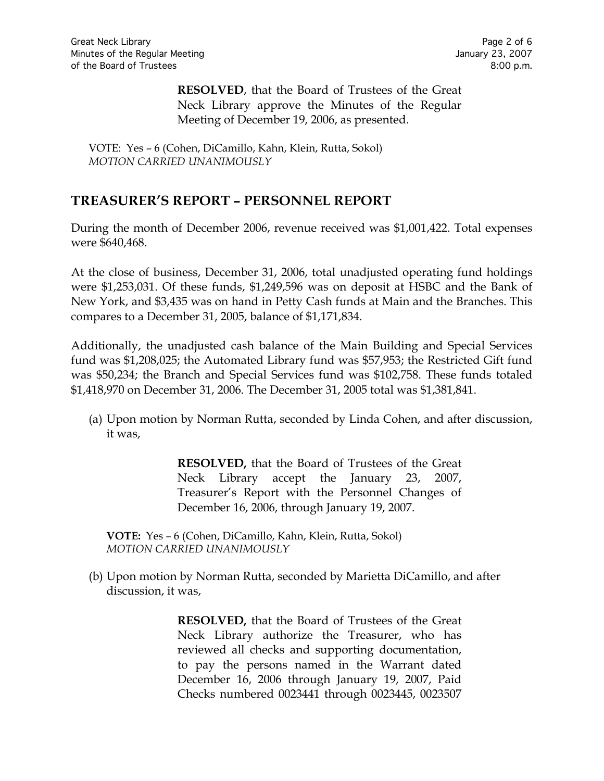**RESOLVED**, that the Board of Trustees of the Great Neck Library approve the Minutes of the Regular Meeting of December 19, 2006, as presented.

VOTE:Yes – 6 (Cohen, DiCamillo, Kahn, Klein, Rutta, Sokol) *MOTION CARRIED UNANIMOUSLY*

## **TREASURER'S REPORT – PERSONNEL REPORT**

During the month of December 2006, revenue received was \$1,001,422. Total expenses were \$640,468.

At the close of business, December 31, 2006, total unadjusted operating fund holdings were \$1,253,031. Of these funds, \$1,249,596 was on deposit at HSBC and the Bank of New York, and \$3,435 was on hand in Petty Cash funds at Main and the Branches. This compares to a December 31, 2005, balance of \$1,171,834.

Additionally, the unadjusted cash balance of the Main Building and Special Services fund was \$1,208,025; the Automated Library fund was \$57,953; the Restricted Gift fund was \$50,234; the Branch and Special Services fund was \$102,758. These funds totaled \$1,418,970 on December 31, 2006. The December 31, 2005 total was \$1,381,841.

(a) Upon motion by Norman Rutta, seconded by Linda Cohen, and after discussion, it was,

> **RESOLVED,** that the Board of Trustees of the Great Neck Library accept the January 23, 2007, Treasurer's Report with the Personnel Changes of December 16, 2006, through January 19, 2007.

**VOTE:** Yes – 6 (Cohen, DiCamillo, Kahn, Klein, Rutta, Sokol) *MOTION CARRIED UNANIMOUSLY*

(b) Upon motion by Norman Rutta, seconded by Marietta DiCamillo, and after discussion, it was,

> **RESOLVED,** that the Board of Trustees of the Great Neck Library authorize the Treasurer, who has reviewed all checks and supporting documentation, to pay the persons named in the Warrant dated December 16, 2006 through January 19, 2007, Paid Checks numbered 0023441 through 0023445, 0023507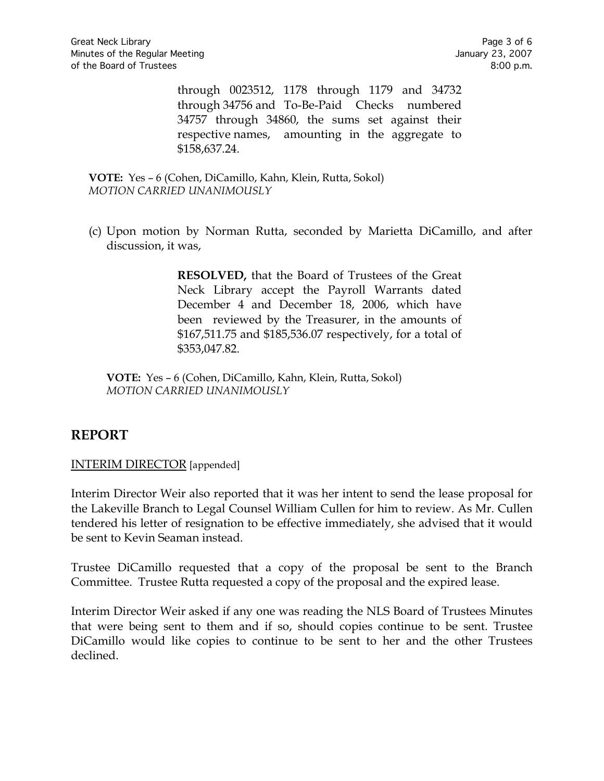through 0023512, 1178 through 1179 and 34732 through 34756 and To-Be-Paid Checks numbered 34757 through 34860, the sums set against their respective names, amounting in the aggregate to \$158,637.24.

**VOTE:** Yes – 6 (Cohen, DiCamillo, Kahn, Klein, Rutta, Sokol) *MOTION CARRIED UNANIMOUSLY*

(c) Upon motion by Norman Rutta, seconded by Marietta DiCamillo, and after discussion, it was,

> **RESOLVED,** that the Board of Trustees of the Great Neck Library accept the Payroll Warrants dated December 4 and December 18, 2006, which have been reviewed by the Treasurer, in the amounts of \$167,511.75 and \$185,536.07 respectively, for a total of \$353,047.82.

**VOTE:** Yes – 6 (Cohen, DiCamillo, Kahn, Klein, Rutta, Sokol) *MOTION CARRIED UNANIMOUSLY*

## **REPORT**

#### INTERIM DIRECTOR [appended]

Interim Director Weir also reported that it was her intent to send the lease proposal for the Lakeville Branch to Legal Counsel William Cullen for him to review. As Mr. Cullen tendered his letter of resignation to be effective immediately, she advised that it would be sent to Kevin Seaman instead.

Trustee DiCamillo requested that a copy of the proposal be sent to the Branch Committee. Trustee Rutta requested a copy of the proposal and the expired lease.

Interim Director Weir asked if any one was reading the NLS Board of Trustees Minutes that were being sent to them and if so, should copies continue to be sent. Trustee DiCamillo would like copies to continue to be sent to her and the other Trustees declined.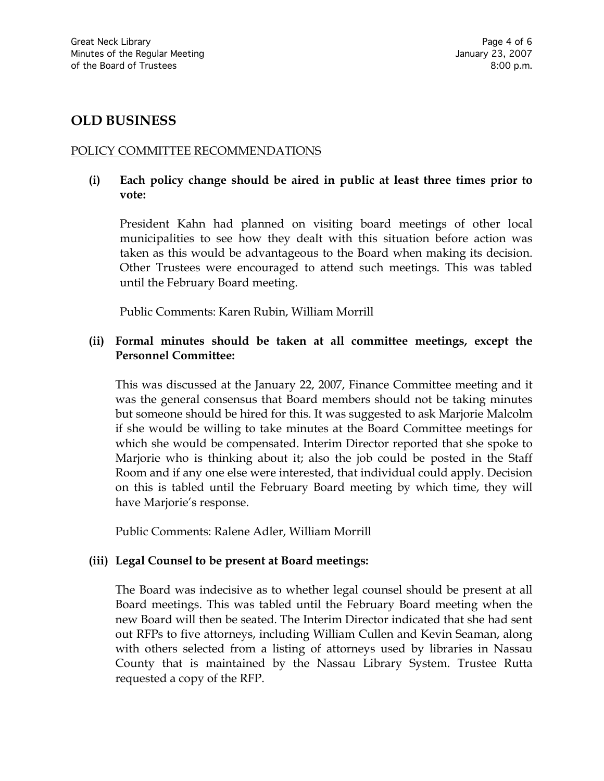### **OLD BUSINESS**

#### POLICY COMMITTEE RECOMMENDATIONS

#### **(i) Each policy change should be aired in public at least three times prior to vote:**

President Kahn had planned on visiting board meetings of other local municipalities to see how they dealt with this situation before action was taken as this would be advantageous to the Board when making its decision. Other Trustees were encouraged to attend such meetings. This was tabled until the February Board meeting.

Public Comments: Karen Rubin, William Morrill

#### **(ii) Formal minutes should be taken at all committee meetings, except the Personnel Committee:**

This was discussed at the January 22, 2007, Finance Committee meeting and it was the general consensus that Board members should not be taking minutes but someone should be hired for this. It was suggested to ask Marjorie Malcolm if she would be willing to take minutes at the Board Committee meetings for which she would be compensated. Interim Director reported that she spoke to Marjorie who is thinking about it; also the job could be posted in the Staff Room and if any one else were interested, that individual could apply. Decision on this is tabled until the February Board meeting by which time, they will have Marjorie's response.

Public Comments: Ralene Adler, William Morrill

#### **(iii) Legal Counsel to be present at Board meetings:**

The Board was indecisive as to whether legal counsel should be present at all Board meetings. This was tabled until the February Board meeting when the new Board will then be seated. The Interim Director indicated that she had sent out RFPs to five attorneys, including William Cullen and Kevin Seaman, along with others selected from a listing of attorneys used by libraries in Nassau County that is maintained by the Nassau Library System. Trustee Rutta requested a copy of the RFP.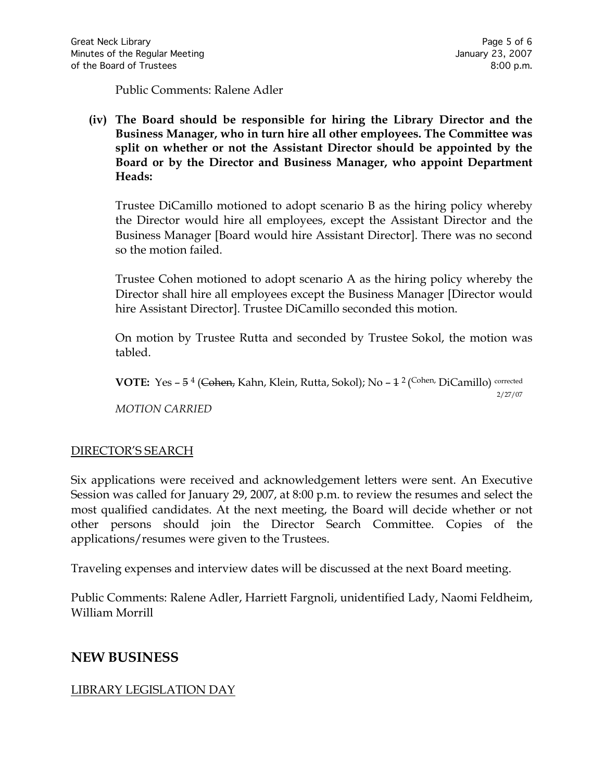Public Comments: Ralene Adler

**(iv) The Board should be responsible for hiring the Library Director and the Business Manager, who in turn hire all other employees. The Committee was split on whether or not the Assistant Director should be appointed by the Board or by the Director and Business Manager, who appoint Department Heads:**

Trustee DiCamillo motioned to adopt scenario B as the hiring policy whereby the Director would hire all employees, except the Assistant Director and the Business Manager [Board would hire Assistant Director]. There was no second so the motion failed.

Trustee Cohen motioned to adopt scenario A as the hiring policy whereby the Director shall hire all employees except the Business Manager [Director would hire Assistant Director]. Trustee DiCamillo seconded this motion.

On motion by Trustee Rutta and seconded by Trustee Sokol, the motion was tabled.

VOTE: Yes - 5<sup>4</sup> (Cohen, Kahn, Klein, Rutta, Sokol); No - 1<sup>2</sup> (Cohen, DiCamillo) corrected 2/27/07 *MOTION CARRIED* 

#### DIRECTOR'S SEARCH

Six applications were received and acknowledgement letters were sent. An Executive Session was called for January 29, 2007, at 8:00 p.m. to review the resumes and select the most qualified candidates. At the next meeting, the Board will decide whether or not other persons should join the Director Search Committee. Copies of the applications/resumes were given to the Trustees.

Traveling expenses and interview dates will be discussed at the next Board meeting.

Public Comments: Ralene Adler, Harriett Fargnoli, unidentified Lady, Naomi Feldheim, William Morrill

## **NEW BUSINESS**

### LIBRARY LEGISLATION DAY